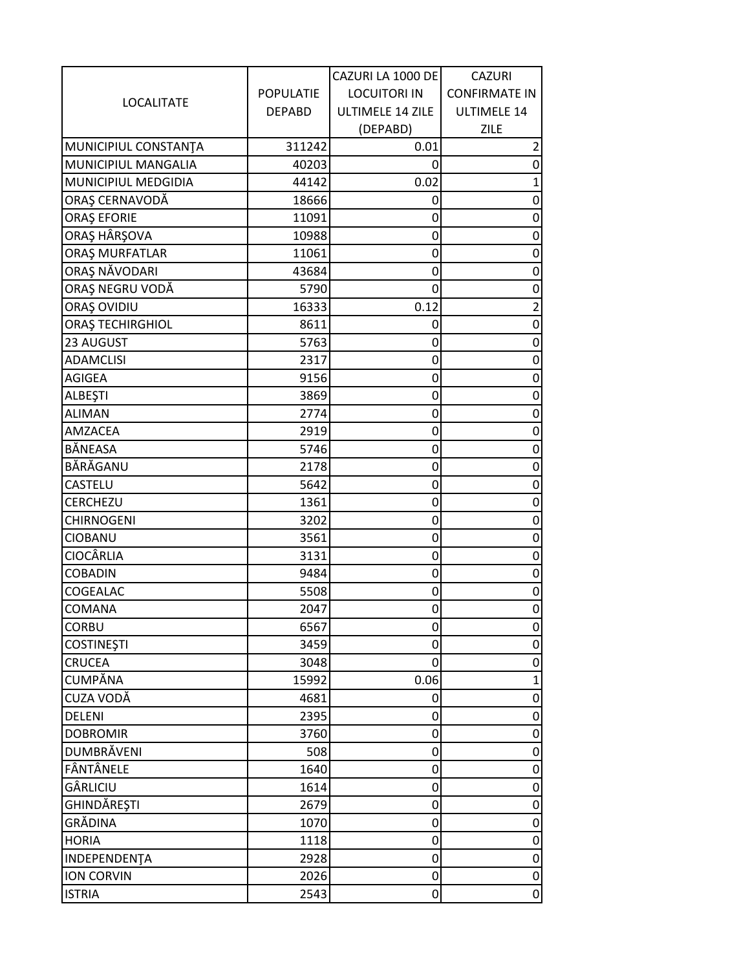| <b>LOCALITATE</b>             |                  | CAZURI LA 1000 DE   | <b>CAZURI</b>        |
|-------------------------------|------------------|---------------------|----------------------|
|                               | <b>POPULATIE</b> | <b>LOCUITORI IN</b> | <b>CONFIRMATE IN</b> |
|                               | <b>DEPABD</b>    | ULTIMELE 14 ZILE    | ULTIMELE 14          |
|                               |                  | (DEPABD)            | <b>ZILE</b>          |
| MUNICIPIUL CONSTANTA          | 311242           | 0.01                |                      |
| MUNICIPIUL MANGALIA           | 40203            | 0                   | O                    |
| MUNICIPIUL MEDGIDIA           | 44142            | 0.02                |                      |
| ORAȘ CERNAVODĂ                | 18666            | 0                   | 0                    |
| ORAȘ EFORIE                   | 11091            | 0                   | 0                    |
| ORAȘ HÂRȘOVA                  | 10988            | 0                   | Ω                    |
| ORAȘ MURFATLAR                | 11061            | 0                   | 0                    |
| ORAŞ NAVODARI                 | 43684            | 0                   | 0                    |
| ORAȘ NEGRU VODĂ               | 5790             | 0                   | 0                    |
| ORAȘ OVIDIU                   | 16333            | 0.12                | $\overline{2}$       |
| ORAȘ TECHIRGHIOL              | 8611             | 0                   | 0                    |
| 23 AUGUST                     | 5763             | 0                   | 0                    |
| <b>ADAMCLISI</b>              | 2317             | 0                   | 0                    |
| <b>AGIGEA</b>                 | 9156             | 0                   | 0                    |
| ALBEŞTI                       | 3869             | 0                   | 0                    |
| <b>ALIMAN</b>                 | 2774             | 0                   | 0                    |
| AMZACEA                       | 2919             | 0                   | 0                    |
| BÅNEASA                       | 5746             | 0                   |                      |
| BĂRĂGANU                      | 2178             | 0                   | Ω                    |
| CASTELU                       | 5642             | $\mathbf 0$         | 0                    |
| CERCHEZU                      | 1361             | 0                   | 0                    |
| <b>CHIRNOGENI</b>             | 3202             | 0                   | 0                    |
| <b>CIOBANU</b>                | 3561             | 0                   | 0                    |
| CIOCÂRLIA                     | 3131             | 0                   | 0                    |
| <b>COBADIN</b>                | 9484             | 0                   |                      |
| COGEALAC                      | 5508             | 0                   | O                    |
| COMANA                        | 2047             | $\overline{0}$      | 0                    |
| <b>CORBU</b>                  | 6567             | 0                   | 0                    |
| <b>COSTINEȘTI</b>             | 3459             | 0                   | 0                    |
| CRUCEA                        | 3048             | 0                   | 0                    |
| CUMPĂNA                       | 15992            | 0.06                |                      |
| CUZA VODĂ                     | 4681             | 0                   |                      |
| <b>DELENI</b>                 | 2395             | 0                   | 0                    |
| <b>DOBROMIR</b>               | 3760             | 0                   | 0                    |
| DUMBRÄVENI                    | 508              | 0                   | 0                    |
| FÂNTÂNELE                     | 1640             | 0                   |                      |
| GÂRLICIU                      | 1614             | 0                   | 0                    |
|                               |                  |                     |                      |
| GHINDĂREȘTI<br><b>GRĂDINA</b> | 2679             | 0                   | O                    |
|                               | 1070             | 0                   | 0                    |
| <b>HORIA</b>                  | 1118             | 0                   | 0                    |
| INDEPENDENTA                  | 2928             | 0                   | 0                    |
| <b>ION CORVIN</b>             | 2026             | 0                   | $\vert 0 \vert$      |
| <b>ISTRIA</b>                 | 2543             | 0                   | 0                    |